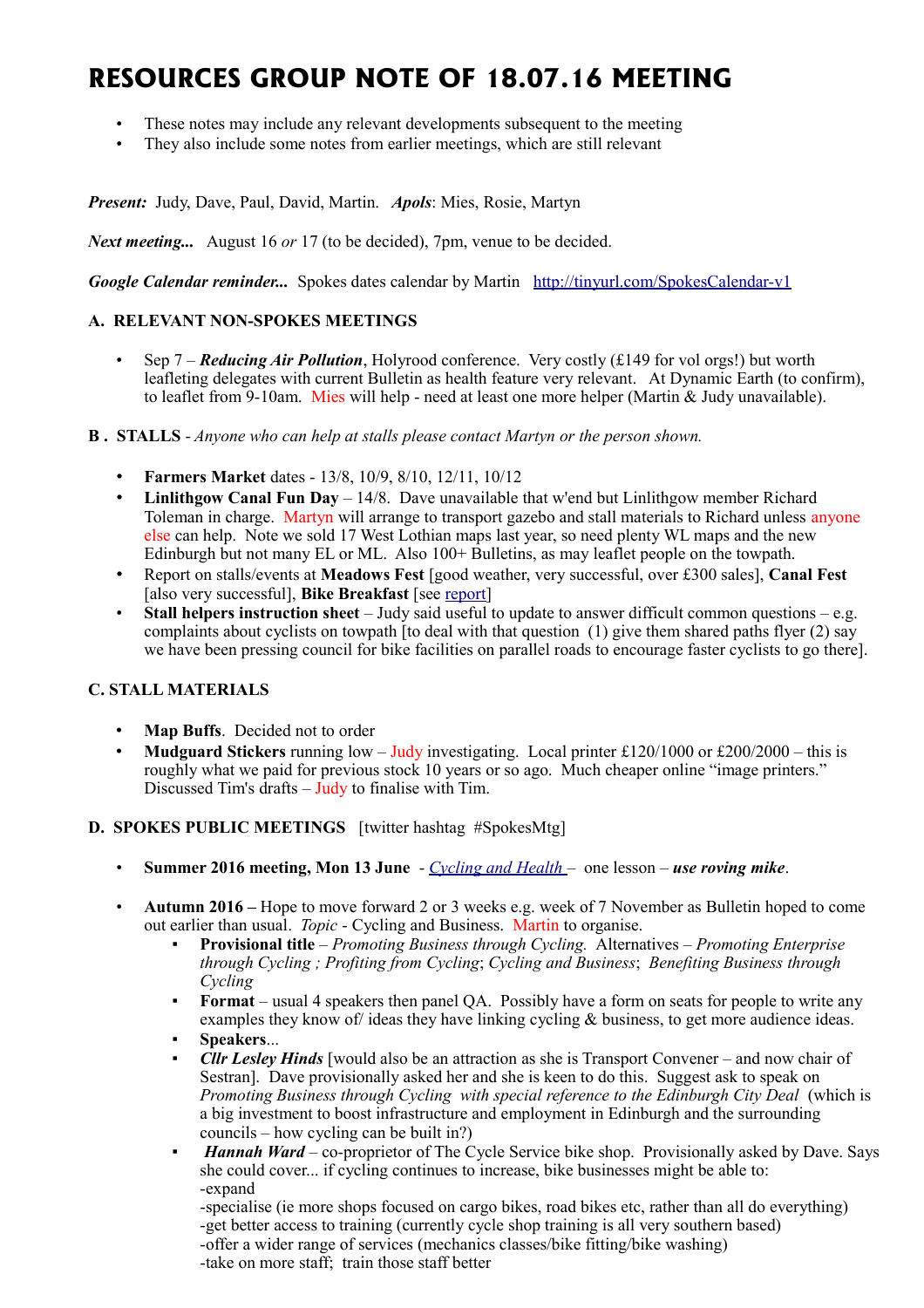# **RESOURCES GROUP NOTE OF 18.07.16 MEETING**

- These notes may include any relevant developments subsequent to the meeting
- They also include some notes from earlier meetings, which are still relevant

*Present:* Judy, Dave, Paul, David, Martin. *Apols*: Mies, Rosie, Martyn

*Next meeting...* August 16 *or* 17 (to be decided), 7pm, venue to be decided.

*Google Calendar reminder...* Spokes dates calendar by Martin <http://tinyurl.com/SpokesCalendar-v1>

## **A. RELEVANT NON-SPOKES MEETINGS**

• Sep 7 – *Reducing Air Pollution*, Holyrood conference. Very costly (£149 for vol orgs!) but worth leafleting delegates with current Bulletin as health feature very relevant. At Dynamic Earth (to confirm), to leaflet from 9-10am. Mies will help - need at least one more helper (Martin & Judy unavailable).

**B . STALLS** - *Anyone who can help at stalls please contact Martyn or the person shown.*

- **Farmers Market** dates 13/8, 10/9, 8/10, 12/11, 10/12
- Linlithgow Canal Fun Day 14/8. Dave unavailable that w'end but Linlithgow member Richard Toleman in charge. Martyn will arrange to transport gazebo and stall materials to Richard unless anyone else can help. Note we sold 17 West Lothian maps last year, so need plenty WL maps and the new Edinburgh but not many EL or ML. Also 100+ Bulletins, as may leaflet people on the towpath.
- Report on stalls/events at **Meadows Fest** [good weather, very successful, over £300 sales], **Canal Fest** [also very successful], **Bike Breakfast** [see [report\]](http://www.spokes.org.uk/2016/06/bike-breakfast-2016-spokesbb/)
- **Stall helpers instruction sheet**  Judy said useful to update to answer difficult common questions e.g. complaints about cyclists on towpath [to deal with that question  $(1)$  give them shared paths flyer  $(2)$  say we have been pressing council for bike facilities on parallel roads to encourage faster cyclists to go there].

## **C. STALL MATERIALS**

- **Map Buffs.** Decided not to order
- **Mudguard Stickers** running low Judy investigating. Local printer £120/1000 or £200/2000 this is roughly what we paid for previous stock 10 years or so ago. Much cheaper online "image printers." Discussed Tim's drafts  $-\overline{J}$ udy to finalise with Tim.

## **D. SPOKES PUBLIC MEETINGS** [twitter hashtag #SpokesMtg]

- **Summer 2016 meeting, Mon 13 June** *[Cycling and Health](http://www.spokes.org.uk/2016/06/cycling-health-meeting-report/)* one lesson *use roving mike*.
- **Autumn 2016 –** Hope to move forward 2 or 3 weeks e.g. week of 7 November as Bulletin hoped to come out earlier than usual. *Topic* - Cycling and Business. Martin to organise.
	- **Provisional title**  *Promoting Business through Cycling.* Alternatives *Promoting Enterprise through Cycling ; Profiting from Cycling*; *Cycling and Business*; *Benefiting Business through Cycling*
	- **Format** usual 4 speakers then panel QA. Possibly have a form on seats for people to write any examples they know of ideas they have linking cycling & business, to get more audience ideas.
	- **Speakers**...
	- *Cllr Lesley Hinds* [would also be an attraction as she is Transport Convener and now chair of Sestran]. Dave provisionally asked her and she is keen to do this. Suggest ask to speak on *Promoting Business through Cycling with special reference to the Edinburgh City Deal* (which is a big investment to boost infrastructure and employment in Edinburgh and the surrounding councils – how cycling can be built in?)
	- *Hannah Ward* co-proprietor of The Cycle Service bike shop. Provisionally asked by Dave. Says she could cover... if cycling continues to increase, bike businesses might be able to: -expand

-specialise (ie more shops focused on cargo bikes, road bikes etc, rather than all do everything) -get better access to training (currently cycle shop training is all very southern based) -offer a wider range of services (mechanics classes/bike fitting/bike washing)

-take on more staff; train those staff better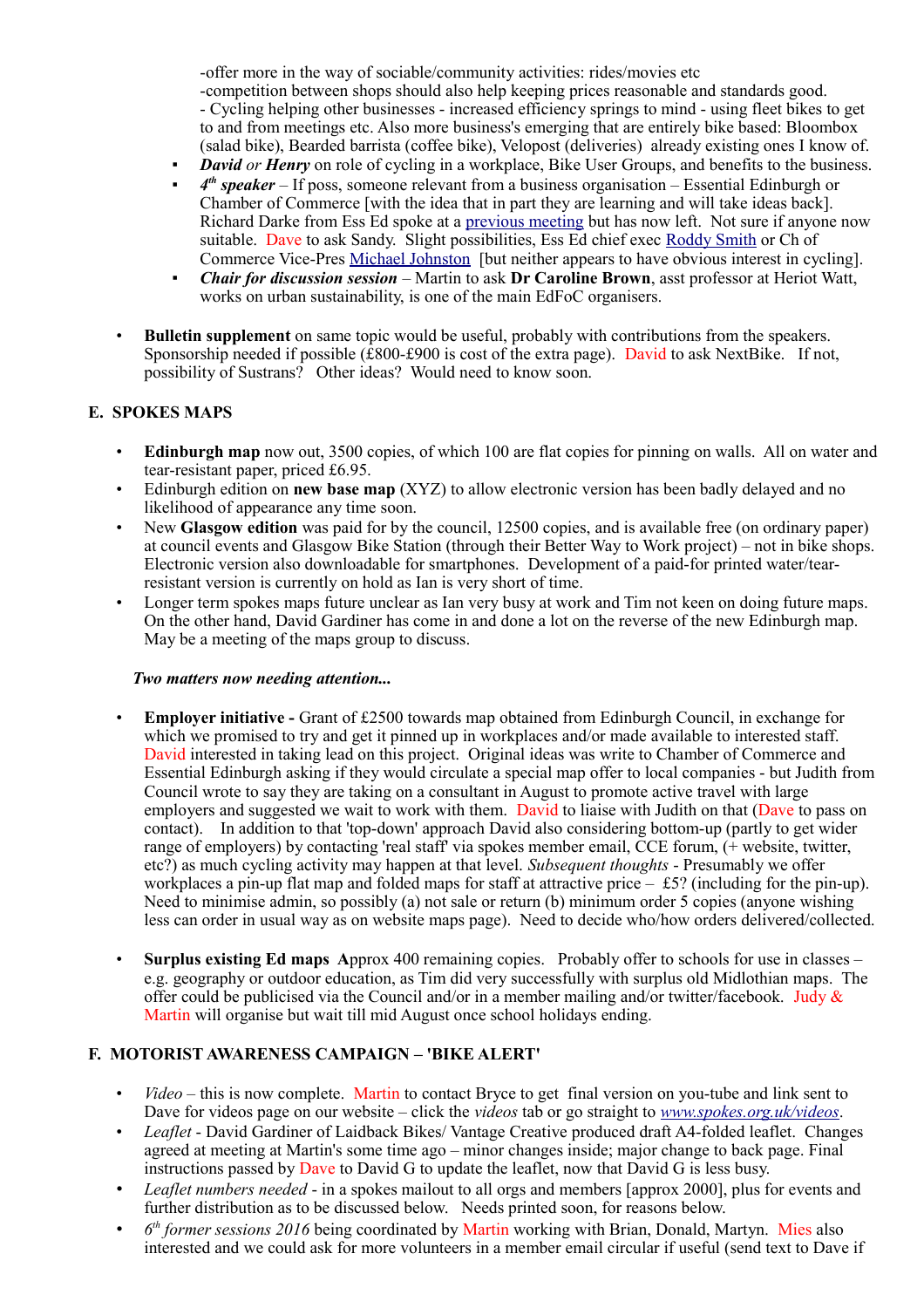-offer more in the way of sociable/community activities: rides/movies etc -competition between shops should also help keeping prices reasonable and standards good. - Cycling helping other businesses - increased efficiency springs to mind - using fleet bikes to get to and from meetings etc. Also more business's emerging that are entirely bike based: Bloombox (salad bike), Bearded barrista (coffee bike), Velopost (deliveries) already existing ones I know of.

- *David or Henry* on role of cycling in a workplace. Bike User Groups, and benefits to the business.
- *4<sup>th</sup> speaker* If poss, someone relevant from a business organisation Essential Edinburgh or Chamber of Commerce [with the idea that in part they are learning and will take ideas back]. Richard Darke from Ess Ed spoke at a [previous meeting](http://www.spokes.org.uk/2015/03/120-strong-spokes-city-centre-meeting/) but has now left. Not sure if anyone now suitable. Dave to ask Sandy. Slight possibilities, Ess Ed chief exec [Roddy Smith](http://www.essentialedinburgh.co.uk/about-us/team/roddy-smith/) or Ch of Commerce Vice-Pres [Michael Johnston](https://uk.linkedin.com/in/michael-johnston-74685b22) [but neither appears to have obvious interest in cycling].
- *Chair for discussion session* Martin to ask **Dr Caroline Brown**, asst professor at Heriot Watt, works on urban sustainability, is one of the main EdFoC organisers.
- **Bulletin supplement** on same topic would be useful, probably with contributions from the speakers. Sponsorship needed if possible  $(\hat{E}800-\hat{E}900)$  is cost of the extra page). David to ask NextBike. If not, possibility of Sustrans? Other ideas? Would need to know soon.

#### **E. SPOKES MAPS**

- **Edinburgh map** now out, 3500 copies, of which 100 are flat copies for pinning on walls. All on water and tear-resistant paper, priced £6.95.
- Edinburgh edition on **new base map** (XYZ) to allow electronic version has been badly delayed and no likelihood of appearance any time soon.
- New **Glasgow edition** was paid for by the council, 12500 copies, and is available free (on ordinary paper) at council events and Glasgow Bike Station (through their Better Way to Work project) – not in bike shops. Electronic version also downloadable for smartphones. Development of a paid-for printed water/tearresistant version is currently on hold as Ian is very short of time.
- Longer term spokes maps future unclear as Ian very busy at work and Tim not keen on doing future maps. On the other hand, David Gardiner has come in and done a lot on the reverse of the new Edinburgh map. May be a meeting of the maps group to discuss.

#### *Two matters now needing attention...*

- **Employer initiative** Grant of £2500 towards map obtained from Edinburgh Council, in exchange for which we promised to try and get it pinned up in workplaces and/or made available to interested staff. David interested in taking lead on this project. Original ideas was write to Chamber of Commerce and Essential Edinburgh asking if they would circulate a special map offer to local companies - but Judith from Council wrote to say they are taking on a consultant in August to promote active travel with large employers and suggested we wait to work with them. David to liaise with Judith on that (Dave to pass on contact). In addition to that 'top-down' approach David also considering bottom-up (partly to get wider range of employers) by contacting 'real staff' via spokes member email,  $\overline{CCE}$  forum,  $\overline{(+)}$  website, twitter, etc?) as much cycling activity may happen at that level. *Subsequent thoughts* - Presumably we offer workplaces a pin-up flat map and folded maps for staff at attractive price – £5? (including for the pin-up). Need to minimise admin, so possibly (a) not sale or return (b) minimum order 5 copies (anyone wishing less can order in usual way as on website maps page). Need to decide who/how orders delivered/collected.
- **Surplus existing Ed maps A**pprox 400 remaining copies. Probably offer to schools for use in classes e.g. geography or outdoor education, as Tim did very successfully with surplus old Midlothian maps. The offer could be publicised via the Council and/or in a member mailing and/or twitter/facebook. Judy & Martin will organise but wait till mid August once school holidays ending.

#### **F. MOTORIST AWARENESS CAMPAIGN – 'BIKE ALERT'**

- *Video* this is now complete. Martin to contact Bryce to get final version on you-tube and link sent to Dave for videos page on our website – click the *videos* tab or go straight to *[www.spokes.org.uk/videos](http://www.spokes.org.uk/videos)*.
- *Leaflet* David Gardiner of Laidback Bikes/ Vantage Creative produced draft A4-folded leaflet. Changes agreed at meeting at Martin's some time ago – minor changes inside; major change to back page. Final instructions passed by Dave to David G to update the leaflet, now that David G is less busy.
- *Leaflet numbers needed* in a spokes mailout to all orgs and members [approx 2000], plus for events and further distribution as to be discussed below. Needs printed soon, for reasons below.
- *6 th former sessions 2016* being coordinated by Martin working with Brian, Donald, Martyn. Mies also interested and we could ask for more volunteers in a member email circular if useful (send text to Dave if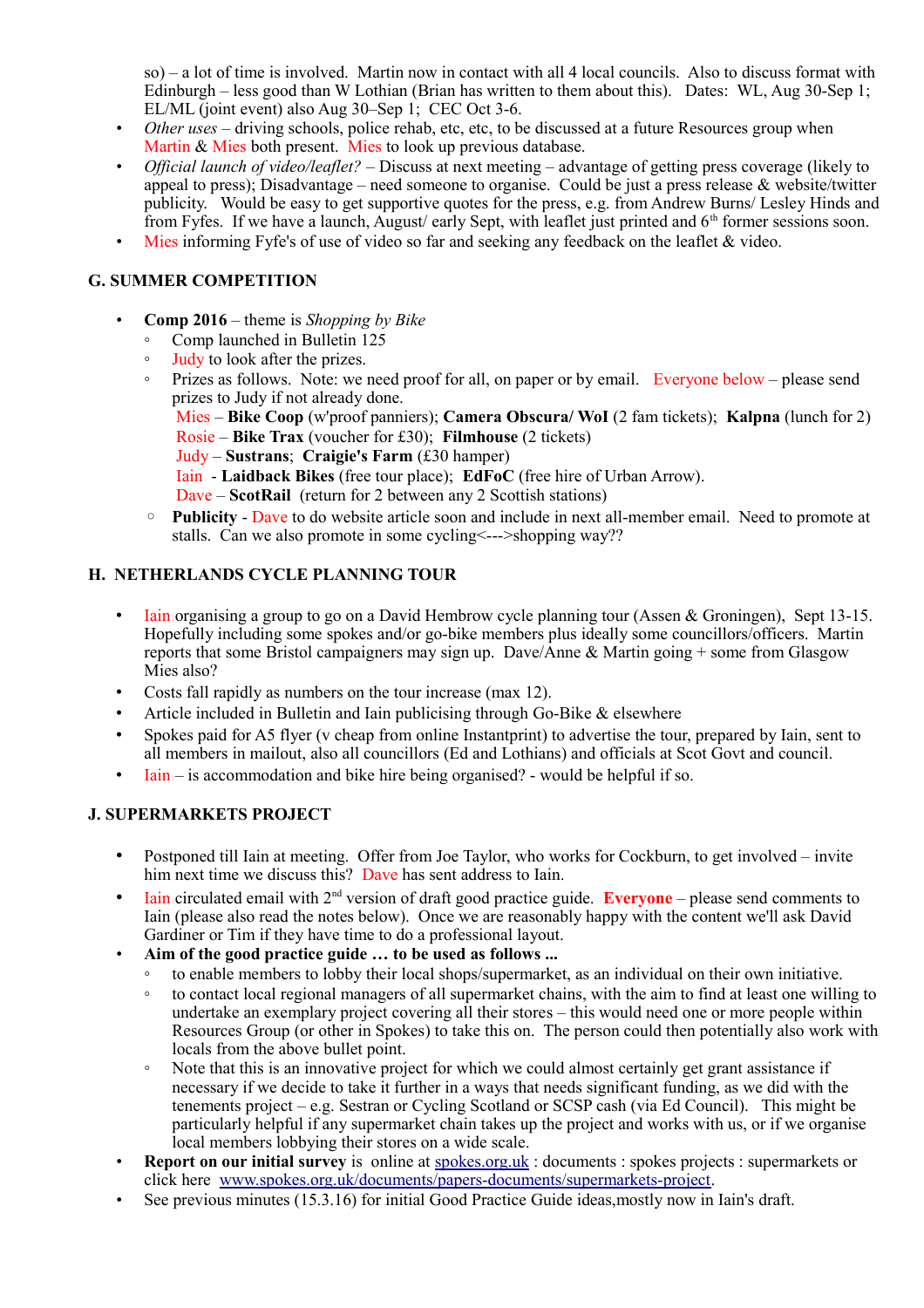so) – a lot of time is involved. Martin now in contact with all 4 local councils. Also to discuss format with Edinburgh – less good than W Lothian (Brian has written to them about this). Dates: WL, Aug 30-Sep 1; EL/ML (joint event) also Aug 30–Sep 1; CEC Oct 3-6.

- *Other uses* driving schools, police rehab, etc, etc, to be discussed at a future Resources group when Martin & Mies both present. Mies to look up previous database.
- *Official launch of video/leaflet?* Discuss at next meeting advantage of getting press coverage (likely to appeal to press); Disadvantage – need someone to organise. Could be just a press release & website/twitter publicity. Would be easy to get supportive quotes for the press, e.g. from Andrew Burns/ Lesley Hinds and from Fyfes. If we have a launch, August/ early Sept, with leaflet just printed and 6<sup>th</sup> former sessions soon.
- Mies informing Fyfe's of use of video so far and seeking any feedback on the leaflet & video.

# **G. SUMMER COMPETITION**

- **Comp 2016** theme is *Shopping by Bike*
	- Comp launched in Bulletin 125
	- Judy to look after the prizes.
	- Prizes as follows. Note: we need proof for all, on paper or by email. Everyone below please send prizes to Judy if not already done.

Mies – **Bike Coop** (w'proof panniers); **Camera Obscura/ WoI** (2 fam tickets); **Kalpna** (lunch for 2) Rosie – **Bike Trax** (voucher for £30); **Filmhouse** (2 tickets)

- Judy **Sustrans**; **Craigie's Farm** (£30 hamper)
- Iain **Laidback Bikes** (free tour place); **EdFoC** (free hire of Urban Arrow).

Dave – **ScotRail** (return for 2 between any 2 Scottish stations)

◦ **Publicity** - Dave to do website article soon and include in next all-member email. Need to promote at stalls. Can we also promote in some cycling<--->shopping way??

## **H. NETHERLANDS CYCLE PLANNING TOUR**

- Iain organising a group to go on a David Hembrow cycle planning tour (Assen & Groningen), Sept 13-15. Hopefully including some spokes and/or go-bike members plus ideally some councillors/officers. Martin reports that some Bristol campaigners may sign up. Dave/Anne & Martin going + some from Glasgow Mies also?
- Costs fall rapidly as numbers on the tour increase (max 12).
- Article included in Bulletin and Iain publicising through Go-Bike & elsewhere
- Spokes paid for A5 flyer (v cheap from online Instantprint) to advertise the tour, prepared by Iain, sent to all members in mailout, also all councillors (Ed and Lothians) and officials at Scot Govt and council.
- Iain is accommodation and bike hire being organised? would be helpful if so.

#### **J. SUPERMARKETS PROJECT**

- Postponed till Iain at meeting. Offer from Joe Taylor, who works for Cockburn, to get involved invite him next time we discuss this? Dave has sent address to Iain.
- Iain circulated email with 2<sup>nd</sup> version of draft good practice guide. **Everyone** please send comments to Iain (please also read the notes below). Once we are reasonably happy with the content we'll ask David Gardiner or Tim if they have time to do a professional layout.
- **Aim of the good practice guide … to be used as follows ...**
	- to enable members to lobby their local shops/supermarket, as an individual on their own initiative.
	- to contact local regional managers of all supermarket chains, with the aim to find at least one willing to undertake an exemplary project covering all their stores – this would need one or more people within Resources Group (or other in Spokes) to take this on. The person could then potentially also work with locals from the above bullet point.
	- Note that this is an innovative project for which we could almost certainly get grant assistance if necessary if we decide to take it further in a ways that needs significant funding, as we did with the tenements project – e.g. Sestran or Cycling Scotland or SCSP cash (via Ed Council). This might be particularly helpful if any supermarket chain takes up the project and works with us, or if we organise local members lobbying their stores on a wide scale.
- **Report on our initial survey** is online at [spokes.org.uk](http://spokes.org.uk/) : documents : spokes projects : supermarkets or click here [www.spokes.org.uk/documents/papers-documents/supermarkets-project.](http://www.spokes.org.uk/documents/papers-documents/supermarkets-project)
- See previous minutes (15.3.16) for initial Good Practice Guide ideas,mostly now in Iain's draft.